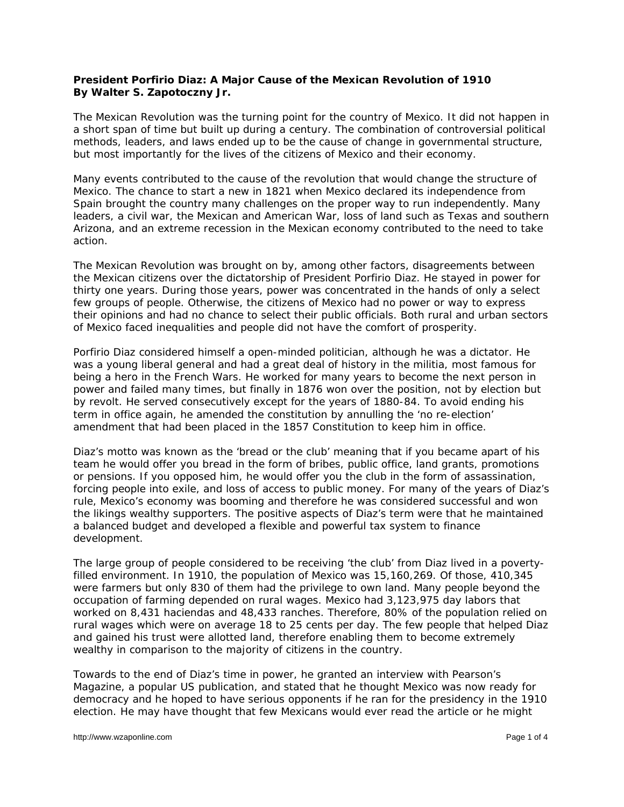## **President Porfirio Diaz: A Major Cause of the Mexican Revolution of 1910 By Walter S. Zapotoczny Jr.**

The Mexican Revolution was the turning point for the country of Mexico. It did not happen in a short span of time but built up during a century. The combination of controversial political methods, leaders, and laws ended up to be the cause of change in governmental structure, but most importantly for the lives of the citizens of Mexico and their economy.

Many events contributed to the cause of the revolution that would change the structure of Mexico. The chance to start a new in 1821 when Mexico declared its independence from Spain brought the country many challenges on the proper way to run independently. Many leaders, a civil war, the Mexican and American War, loss of land such as Texas and southern Arizona, and an extreme recession in the Mexican economy contributed to the need to take action.

The Mexican Revolution was brought on by, among other factors, disagreements between the Mexican citizens over the dictatorship of President Porfirio Diaz. He stayed in power for thirty one years. During those years, power was concentrated in the hands of only a select few groups of people. Otherwise, the citizens of Mexico had no power or way to express their opinions and had no chance to select their public officials. Both rural and urban sectors of Mexico faced inequalities and people did not have the comfort of prosperity.

Porfirio Diaz considered himself a open-minded politician, although he was a dictator. He was a young liberal general and had a great deal of history in the militia, most famous for being a hero in the French Wars. He worked for many years to become the next person in power and failed many times, but finally in 1876 won over the position, not by election but by revolt. He served consecutively except for the years of 1880-84. To avoid ending his term in office again, he amended the constitution by annulling the 'no re-election' amendment that had been placed in the 1857 Constitution to keep him in office.

Diaz's motto was known as the 'bread or the club' meaning that if you became apart of his team he would offer you bread in the form of bribes, public office, land grants, promotions or pensions. If you opposed him, he would offer you the club in the form of assassination, forcing people into exile, and loss of access to public money. For many of the years of Diaz's rule, Mexico's economy was booming and therefore he was considered successful and won the likings wealthy supporters. The positive aspects of Diaz's term were that he maintained a balanced budget and developed a flexible and powerful tax system to finance development.

The large group of people considered to be receiving 'the club' from Diaz lived in a povertyfilled environment. In 1910, the population of Mexico was 15,160,269. Of those, 410,345 were farmers but only 830 of them had the privilege to own land. Many people beyond the occupation of farming depended on rural wages. Mexico had 3,123,975 day labors that worked on 8,431 haciendas and 48,433 ranches. Therefore, 80% of the population relied on rural wages which were on average 18 to 25 cents per day. The few people that helped Diaz and gained his trust were allotted land, therefore enabling them to become extremely wealthy in comparison to the majority of citizens in the country.

Towards to the end of Diaz's time in power, he granted an interview with *Pearson's Magazine*, a popular US publication, and stated that he thought Mexico was now ready for democracy and he hoped to have serious opponents if he ran for the presidency in the 1910 election. He may have thought that few Mexicans would ever read the article or he might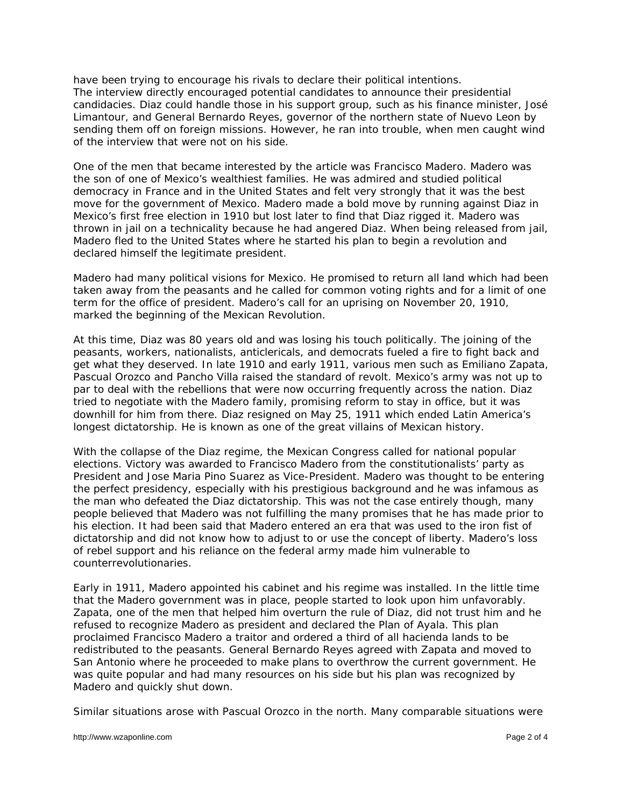have been trying to encourage his rivals to declare their political intentions. The interview directly encouraged potential candidates to announce their presidential candidacies. Diaz could handle those in his support group, such as his finance minister, José Limantour, and General Bernardo Reyes, governor of the northern state of Nuevo Leon by sending them off on foreign missions. However, he ran into trouble, when men caught wind of the interview that were not on his side.

One of the men that became interested by the article was Francisco Madero. Madero was the son of one of Mexico's wealthiest families. He was admired and studied political democracy in France and in the United States and felt very strongly that it was the best move for the government of Mexico. Madero made a bold move by running against Diaz in Mexico's first free election in 1910 but lost later to find that Diaz rigged it. Madero was thrown in jail on a technicality because he had angered Diaz. When being released from jail, Madero fled to the United States where he started his plan to begin a revolution and declared himself the legitimate president.

Madero had many political visions for Mexico. He promised to return all land which had been taken away from the peasants and he called for common voting rights and for a limit of one term for the office of president. Madero's call for an uprising on November 20, 1910, marked the beginning of the Mexican Revolution.

At this time, Diaz was 80 years old and was losing his touch politically. The joining of the peasants, workers, nationalists, anticlericals, and democrats fueled a fire to fight back and get what they deserved. In late 1910 and early 1911, various men such as Emiliano Zapata, Pascual Orozco and Pancho Villa raised the standard of revolt. Mexico's army was not up to par to deal with the rebellions that were now occurring frequently across the nation. Diaz tried to negotiate with the Madero family, promising reform to stay in office, but it was downhill for him from there. Diaz resigned on May 25, 1911 which ended Latin America's longest dictatorship. He is known as one of the great villains of Mexican history.

With the collapse of the Diaz regime, the Mexican Congress called for national popular elections. Victory was awarded to Francisco Madero from the constitutionalists' party as President and Jose Maria Pino Suarez as Vice-President. Madero was thought to be entering the perfect presidency, especially with his prestigious background and he was infamous as the man who defeated the Diaz dictatorship. This was not the case entirely though, many people believed that Madero was not fulfilling the many promises that he has made prior to his election. It had been said that Madero entered an era that was used to the iron fist of dictatorship and did not know how to adjust to or use the concept of liberty. Madero's loss of rebel support and his reliance on the federal army made him vulnerable to counterrevolutionaries.

Early in 1911, Madero appointed his cabinet and his regime was installed. In the little time that the Madero government was in place, people started to look upon him unfavorably. Zapata, one of the men that helped him overturn the rule of Diaz, did not trust him and he refused to recognize Madero as president and declared the Plan of Ayala. This plan proclaimed Francisco Madero a traitor and ordered a third of all hacienda lands to be redistributed to the peasants. General Bernardo Reyes agreed with Zapata and moved to San Antonio where he proceeded to make plans to overthrow the current government. He was quite popular and had many resources on his side but his plan was recognized by Madero and quickly shut down.

Similar situations arose with Pascual Orozco in the north. Many comparable situations were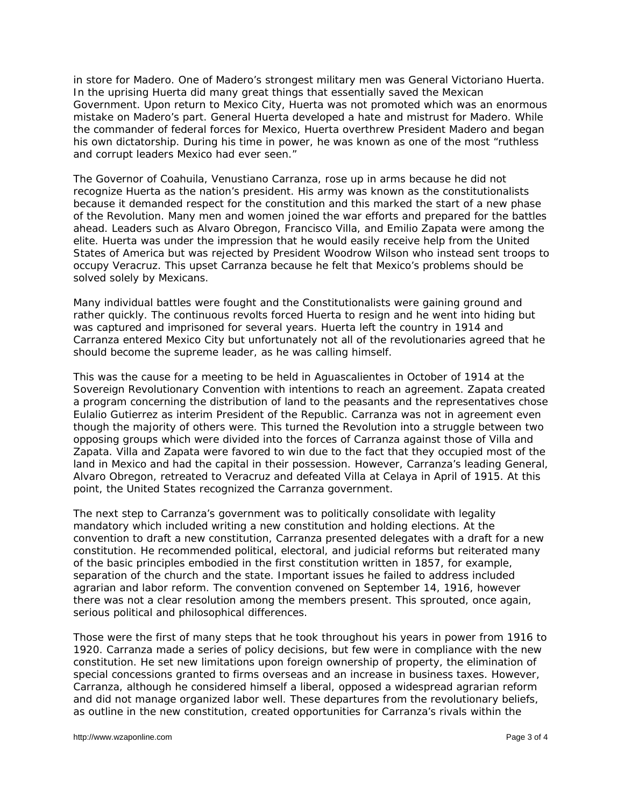in store for Madero. One of Madero's strongest military men was General Victoriano Huerta. In the uprising Huerta did many great things that essentially saved the Mexican Government. Upon return to Mexico City, Huerta was not promoted which was an enormous mistake on Madero's part. General Huerta developed a hate and mistrust for Madero. While the commander of federal forces for Mexico, Huerta overthrew President Madero and began his own dictatorship. During his time in power, he was known as one of the most "ruthless and corrupt leaders Mexico had ever seen."

The Governor of Coahuila, Venustiano Carranza, rose up in arms because he did not recognize Huerta as the nation's president. His army was known as the constitutionalists because it demanded respect for the constitution and this marked the start of a new phase of the Revolution. Many men and women joined the war efforts and prepared for the battles ahead. Leaders such as Alvaro Obregon, Francisco Villa, and Emilio Zapata were among the elite. Huerta was under the impression that he would easily receive help from the United States of America but was rejected by President Woodrow Wilson who instead sent troops to occupy Veracruz. This upset Carranza because he felt that Mexico's problems should be solved solely by Mexicans.

Many individual battles were fought and the Constitutionalists were gaining ground and rather quickly. The continuous revolts forced Huerta to resign and he went into hiding but was captured and imprisoned for several years. Huerta left the country in 1914 and Carranza entered Mexico City but unfortunately not all of the revolutionaries agreed that he should become the supreme leader, as he was calling himself.

This was the cause for a meeting to be held in Aguascalientes in October of 1914 at the Sovereign Revolutionary Convention with intentions to reach an agreement. Zapata created a program concerning the distribution of land to the peasants and the representatives chose Eulalio Gutierrez as interim President of the Republic. Carranza was not in agreement even though the majority of others were. This turned the Revolution into a struggle between two opposing groups which were divided into the forces of Carranza against those of Villa and Zapata. Villa and Zapata were favored to win due to the fact that they occupied most of the land in Mexico and had the capital in their possession. However, Carranza's leading General, Alvaro Obregon, retreated to Veracruz and defeated Villa at Celaya in April of 1915. At this point, the United States recognized the Carranza government.

The next step to Carranza's government was to politically consolidate with legality mandatory which included writing a new constitution and holding elections. At the convention to draft a new constitution, Carranza presented delegates with a draft for a new constitution. He recommended political, electoral, and judicial reforms but reiterated many of the basic principles embodied in the first constitution written in 1857, for example, separation of the church and the state. Important issues he failed to address included agrarian and labor reform. The convention convened on September 14, 1916, however there was not a clear resolution among the members present. This sprouted, once again, serious political and philosophical differences.

Those were the first of many steps that he took throughout his years in power from 1916 to 1920. Carranza made a series of policy decisions, but few were in compliance with the new constitution. He set new limitations upon foreign ownership of property, the elimination of special concessions granted to firms overseas and an increase in business taxes. However, Carranza, although he considered himself a liberal, opposed a widespread agrarian reform and did not manage organized labor well. These departures from the revolutionary beliefs, as outline in the new constitution, created opportunities for Carranza's rivals within the